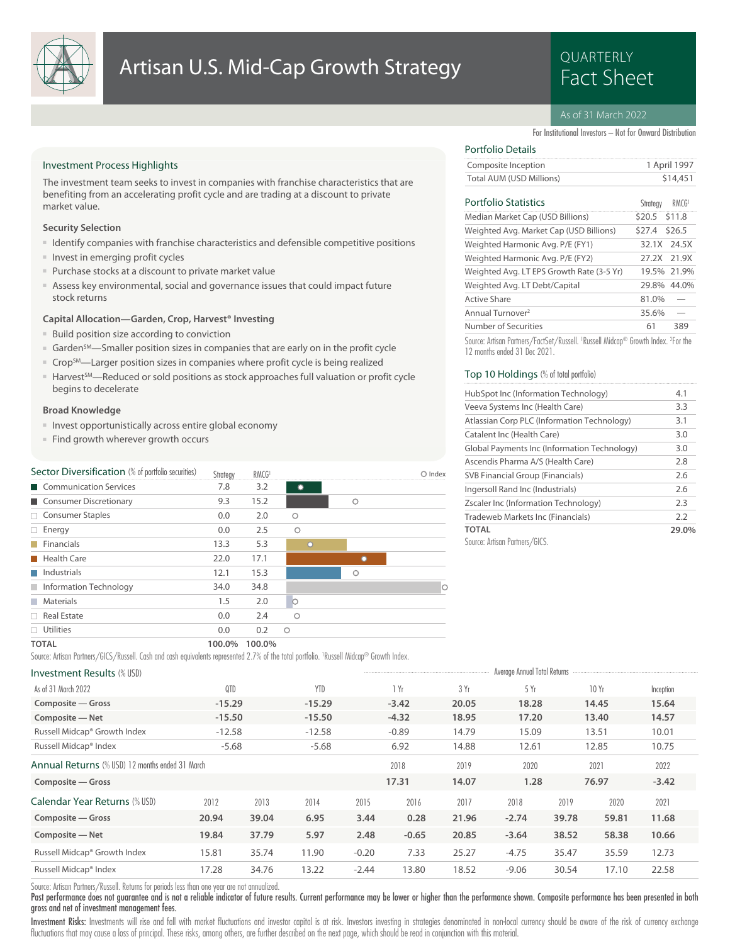

## Artisan U.S. Mid-Cap Growth Strategy **Artisan U.S. Mid-Cap Growth Strategy**

# QUARTERLY

### As of 31 March 2022

For Institutional Investors – Not for Onward Distribution

### Investment Process Highlights

The investment team seeks to invest in companies with franchise characteristics that are benefiting from an accelerating profit cycle and are trading at a discount to private market value.

### **Security Selection**

- Identify companies with franchise characteristics and defensible competitive positions
- Invest in emerging profit cycles
- Purchase stocks at a discount to private market value
- Assess key environmental, social and governance issues that could impact future stock returns

### **Capital Allocation—Garden, Crop, Harvest® Investing**

- Build position size according to conviction
- Garden<sup>sM</sup>—Smaller position sizes in companies that are early on in the profit cycle
- Crop<sup>SM</sup>—Larger position sizes in companies where profit cycle is being realized
- Harvest<sup>SM</sup>—Reduced or sold positions as stock approaches full valuation or profit cycle begins to decelerate

### **Broad Knowledge**

- Invest opportunistically across entire global economy
- Find growth wherever growth occurs

| Sector Diversification (% of portfolio securities) | Strategy | RMCG <sup>1</sup> |           |         | $\bigcirc$ Index |
|----------------------------------------------------|----------|-------------------|-----------|---------|------------------|
| Communication Services                             | 7.8      | 3.2               | $\bullet$ |         |                  |
| Consumer Discretionary                             | 9.3      | 15.2              |           | $\circ$ |                  |
| $\Box$ Consumer Staples                            | 0.0      | 2.0               | Ο         |         |                  |
| $\Box$ Energy                                      | 0.0      | 2.5               | $\circ$   |         |                  |
| $\blacksquare$ Financials                          | 13.3     | 5.3               | $\circ$   |         |                  |
| Health Care                                        | 22.0     | 17.1              |           |         |                  |
| Industrials                                        | 12.1     | 15.3              |           | $\circ$ |                  |
| Information Technology                             | 34.0     | 34.8              |           |         | 10               |
| <b>Materials</b>                                   | 1.5      | 2.0               |           |         |                  |
| $\Box$ Real Estate                                 | 0.0      | 2.4               | Ο         |         |                  |
| $\Box$ Utilities                                   | 0.0      | 0.2               | Ο         |         |                  |
| <b>TOTAL</b>                                       | 100.0%   | 100.0%            |           |         |                  |

Source: Artisan Partners/GICS/Russell. Cash and cash equivalents represented 2.7% of the total portfolio. <sup>1</sup> Russell Midcap® Growth Index.

### Investment Results (% USD) and Total Returns and Total Returns and Total Returns and Total Returns and Total Returns Russell Midcap® Index -5.68 -5.68 -5.68 -5.68 -5.68 -5.68 12.61 12.85 10.75 Russell Midcap® Growth Index -12.58 -12.58 -0.89 14.79 15.09 13.51 10.01 **Composite — Net -15.50 -15.50 -4.32 18.95 17.20 13.40 14.57 Composite — Gross -15.29 -15.29 -3.42 20.05 18.28 14.45 15.64** As of 31 March 2022 QTD YTD 1 Yr 3 Yr 5 Yr 10 Yr Inception Annual Returns (% USD) 12 months ended 31 March **Composite — Gross 17.31 14.07 1.28 76.97 -3.42** 2018 2019 2020 2021 2022 Calendar Year Returns (% USD) Russell Midcap® Index 17.28 34.76 13.22 -2.44 13.80 18.52 -9.06 30.54 17.10 22.58 Russell Midcap® Growth Index 15.81 35.74 11.90 -0.20 7.33 25.27 -4.75 35.47 35.59 12.73 **Composite — Net 19.84 37.79 5.97 2.48 -0.65 20.85 -3.64 38.52 58.38 10.66 Composite — Gross 20.94 39.04 6.95 3.44 0.28 21.96 -2.74 39.78 59.81 11.68** 2012 2013 2014 2015 2016 2017 2018 2019 2020 2021

Source: Artisan Partners/Russell. Returns for periods less than one year are not annualized.

Past performance does not guarantee and is not a reliable indicator of future results. Current performance may be lower or higher than the performance shown. Composite performance has been presented in both gross and net of investment management fees.

Investment Risks: Investments will rise and fall with market fluctuations and investor capital is at risk. Investors investing in strategies denominated in non-local currency should be aware of the risk of currency exchang fluctuations that may cause a loss of principal. These risks, among others, are further described on the next page, which should be read in conjunction with this material.

### Portfolio Details

| ---------------          |              |
|--------------------------|--------------|
| Composite Inception      | 1 April 1997 |
| Total AUM (USD Millions) | \$14,451     |

### Portfolio Statistics RMCG<sup>1</sup>

| Portfolio Statistics                      | Strateav      | RMCG <sup>1</sup> |
|-------------------------------------------|---------------|-------------------|
| Median Market Cap (USD Billions)          | \$20.5 \$11.8 |                   |
| Weighted Avg. Market Cap (USD Billions)   | \$27.4        | \$26.5            |
| Weighted Harmonic Avg. P/E (FY1)          |               | 32.1X 24.5X       |
| Weighted Harmonic Avg. P/E (FY2)          |               | 27.2X 21.9X       |
| Weighted Avg. LT EPS Growth Rate (3-5 Yr) |               | 19.5% 21.9%       |
| Weighted Avg. LT Debt/Capital             |               | 29.8% 44.0%       |
| Active Share                              | 81.0%         |                   |
| Annual Turnover <sup>2</sup>              | 35.6%         |                   |
| Number of Securities                      | 61            | 389               |

Source: Artisan Partners/FactSet/Russell. <sup>1</sup> Russell Midcap® Growth Index. <sup>2</sup> For the 12 months ended 31 Dec 2021.

### Top 10 Holdings (% of total portfolio)

| HubSpot Inc (Information Technology)         | 4.1   |
|----------------------------------------------|-------|
| Veeva Systems Inc (Health Care)              | 3.3   |
| Atlassian Corp PLC (Information Technology)  | 3.1   |
| Catalent Inc (Health Care)                   | 3.0   |
| Global Payments Inc (Information Technology) | 3.0   |
| Ascendis Pharma A/S (Health Care)            | 2.8   |
| SVB Financial Group (Financials)             | 2.6   |
| Ingersoll Rand Inc (Industrials)             | 2.6   |
| Zscaler Inc (Information Technology)         | 2.3   |
| Tradeweb Markets Inc (Financials)            | 2.2   |
| <b>TOTAL</b>                                 | 29.0% |
| Source: Artisan Partners/GICS.               |       |